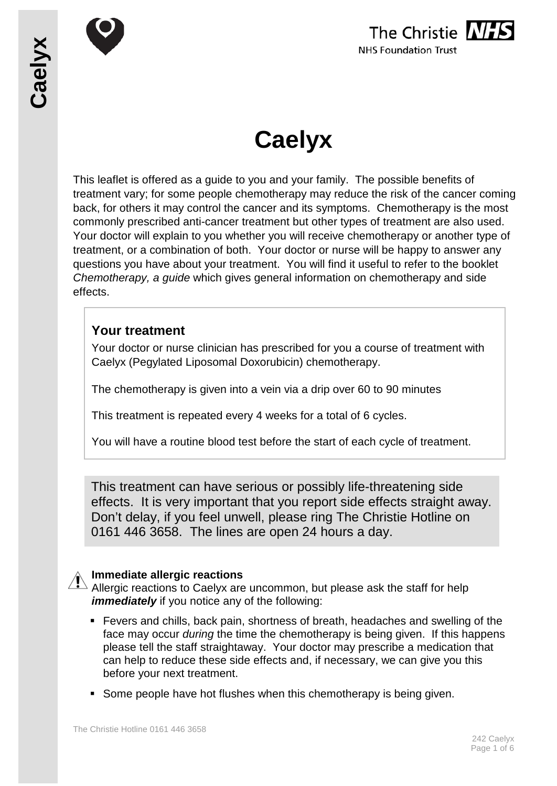



# **Caelyx**

This leaflet is offered as a guide to you and your family. The possible benefits of treatment vary; for some people chemotherapy may reduce the risk of the cancer coming back, for others it may control the cancer and its symptoms. Chemotherapy is the most commonly prescribed anti-cancer treatment but other types of treatment are also used. Your doctor will explain to you whether you will receive chemotherapy or another type of treatment, or a combination of both. Your doctor or nurse will be happy to answer any questions you have about your treatment. You will find it useful to refer to the booklet *Chemotherapy, a guide* which gives general information on chemotherapy and side effects.

## **Your treatment**

Your doctor or nurse clinician has prescribed for you a course of treatment with Caelyx (Pegylated Liposomal Doxorubicin) chemotherapy.

The chemotherapy is given into a vein via a drip over 60 to 90 minutes

This treatment is repeated every 4 weeks for a total of 6 cycles.

You will have a routine blood test before the start of each cycle of treatment.

This treatment can have serious or possibly life-threatening side effects. It is very important that you report side effects straight away. Don't delay, if you feel unwell, please ring The Christie Hotline on 0161 446 3658. The lines are open 24 hours a day.

#### **Immediate allergic reactions**

 $\Delta$  Allergic reactions to Caelyx are uncommon, but please ask the staff for help *immediately* if you notice any of the following:

- Fevers and chills, back pain, shortness of breath, headaches and swelling of the face may occur *during* the time the chemotherapy is being given. If this happens please tell the staff straightaway. Your doctor may prescribe a medication that can help to reduce these side effects and, if necessary, we can give you this before your next treatment.
- Some people have hot flushes when this chemotherapy is being given.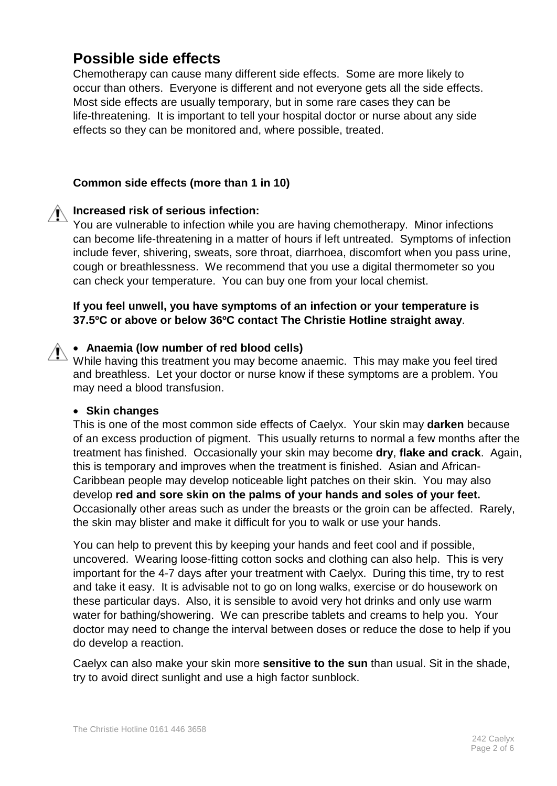# **Possible side effects**

Chemotherapy can cause many different side effects. Some are more likely to occur than others. Everyone is different and not everyone gets all the side effects. Most side effects are usually temporary, but in some rare cases they can be life-threatening. It is important to tell your hospital doctor or nurse about any side effects so they can be monitored and, where possible, treated.

#### **Common side effects (more than 1 in 10)**

#### **Increased risk of serious infection:**

You are vulnerable to infection while you are having chemotherapy. Minor infections can become life-threatening in a matter of hours if left untreated. Symptoms of infection include fever, shivering, sweats, sore throat, diarrhoea, discomfort when you pass urine, cough or breathlessness. We recommend that you use a digital thermometer so you can check your temperature. You can buy one from your local chemist.

#### **If you feel unwell, you have symptoms of an infection or your temperature is 37.5ºC or above or below 36ºC contact The Christie Hotline straight away**.

#### • **Anaemia (low number of red blood cells)**

While having this treatment you may become anaemic. This may make you feel tired and breathless. Let your doctor or nurse know if these symptoms are a problem. You may need a blood transfusion.

#### • **Skin changes**

This is one of the most common side effects of Caelyx. Your skin may **darken** because of an excess production of pigment. This usually returns to normal a few months after the treatment has finished. Occasionally your skin may become **dry**, **flake and crack**. Again, this is temporary and improves when the treatment is finished. Asian and African-Caribbean people may develop noticeable light patches on their skin. You may also develop **red and sore skin on the palms of your hands and soles of your feet.** Occasionally other areas such as under the breasts or the groin can be affected. Rarely, the skin may blister and make it difficult for you to walk or use your hands.

You can help to prevent this by keeping your hands and feet cool and if possible, uncovered. Wearing loose-fitting cotton socks and clothing can also help. This is very important for the 4-7 days after your treatment with Caelyx. During this time, try to rest and take it easy. It is advisable not to go on long walks, exercise or do housework on these particular days. Also, it is sensible to avoid very hot drinks and only use warm water for bathing/showering. We can prescribe tablets and creams to help you. Your doctor may need to change the interval between doses or reduce the dose to help if you do develop a reaction.

Caelyx can also make your skin more **sensitive to the sun** than usual. Sit in the shade, try to avoid direct sunlight and use a high factor sunblock.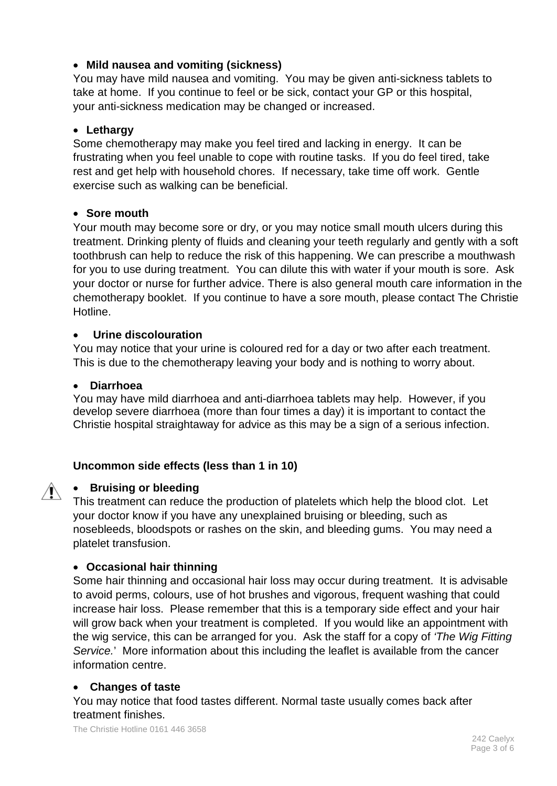#### • **Mild nausea and vomiting (sickness)**

You may have mild nausea and vomiting. You may be given anti-sickness tablets to take at home. If you continue to feel or be sick, contact your GP or this hospital, your anti-sickness medication may be changed or increased.

#### • **Lethargy**

Some chemotherapy may make you feel tired and lacking in energy. It can be frustrating when you feel unable to cope with routine tasks. If you do feel tired, take rest and get help with household chores. If necessary, take time off work. Gentle exercise such as walking can be beneficial.

#### • **Sore mouth**

Your mouth may become sore or dry, or you may notice small mouth ulcers during this treatment. Drinking plenty of fluids and cleaning your teeth regularly and gently with a soft toothbrush can help to reduce the risk of this happening. We can prescribe a mouthwash for you to use during treatment. You can dilute this with water if your mouth is sore. Ask your doctor or nurse for further advice. There is also general mouth care information in the chemotherapy booklet. If you continue to have a sore mouth, please contact The Christie Hotline.

#### • **Urine discolouration**

You may notice that your urine is coloured red for a day or two after each treatment. This is due to the chemotherapy leaving your body and is nothing to worry about.

#### • **Diarrhoea**

You may have mild diarrhoea and anti-diarrhoea tablets may help. However, if you develop severe diarrhoea (more than four times a day) it is important to contact the Christie hospital straightaway for advice as this may be a sign of a serious infection.

#### **Uncommon side effects (less than 1 in 10)**

# $\mathcal{N}$

• **Bruising or bleeding**

This treatment can reduce the production of platelets which help the blood clot. Let your doctor know if you have any unexplained bruising or bleeding, such as nosebleeds, bloodspots or rashes on the skin, and bleeding gums. You may need a platelet transfusion.

#### • **Occasional hair thinning**

Some hair thinning and occasional hair loss may occur during treatment. It is advisable to avoid perms, colours, use of hot brushes and vigorous, frequent washing that could increase hair loss. Please remember that this is a temporary side effect and your hair will grow back when your treatment is completed. If you would like an appointment with the wig service, this can be arranged for you. Ask the staff for a copy of *'The Wig Fitting Service.*' More information about this including the leaflet is available from the cancer information centre.

#### • **Changes of taste**

You may notice that food tastes different. Normal taste usually comes back after treatment finishes.

The Christie Hotline 0161 446 3658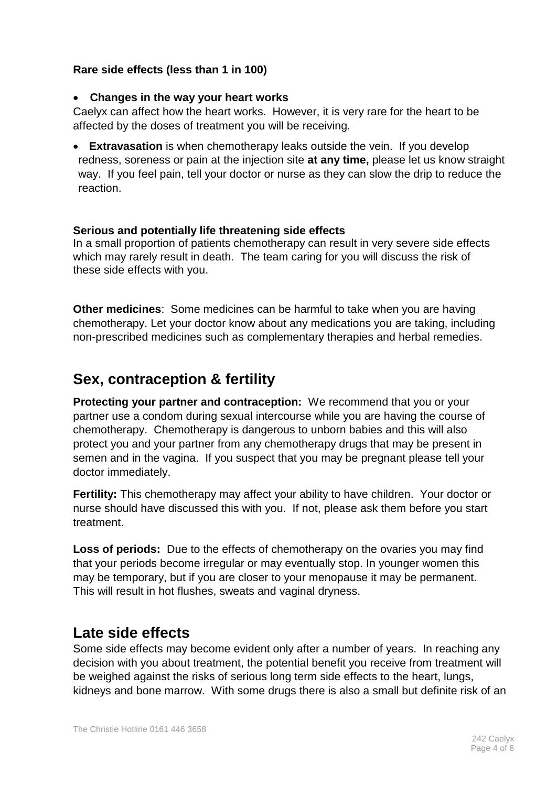#### **Rare side effects (less than 1 in 100)**

#### • **Changes in the way your heart works**

Caelyx can affect how the heart works. However, it is very rare for the heart to be affected by the doses of treatment you will be receiving.

• **Extravasation** is when chemotherapy leaks outside the vein. If you develop redness, soreness or pain at the injection site **at any time,** please let us know straight way. If you feel pain, tell your doctor or nurse as they can slow the drip to reduce the reaction.

#### **Serious and potentially life threatening side effects**

In a small proportion of patients chemotherapy can result in very severe side effects which may rarely result in death. The team caring for you will discuss the risk of these side effects with you.

**Other medicines**: Some medicines can be harmful to take when you are having chemotherapy. Let your doctor know about any medications you are taking, including non-prescribed medicines such as complementary therapies and herbal remedies.

# **Sex, contraception & fertility**

**Protecting your partner and contraception:** We recommend that you or your partner use a condom during sexual intercourse while you are having the course of chemotherapy. Chemotherapy is dangerous to unborn babies and this will also protect you and your partner from any chemotherapy drugs that may be present in semen and in the vagina. If you suspect that you may be pregnant please tell your doctor immediately.

**Fertility:** This chemotherapy may affect your ability to have children. Your doctor or nurse should have discussed this with you. If not, please ask them before you start treatment.

**Loss of periods:** Due to the effects of chemotherapy on the ovaries you may find that your periods become irregular or may eventually stop. In younger women this may be temporary, but if you are closer to your menopause it may be permanent. This will result in hot flushes, sweats and vaginal dryness.

# **Late side effects**

Some side effects may become evident only after a number of years. In reaching any decision with you about treatment, the potential benefit you receive from treatment will be weighed against the risks of serious long term side effects to the heart, lungs, kidneys and bone marrow. With some drugs there is also a small but definite risk of an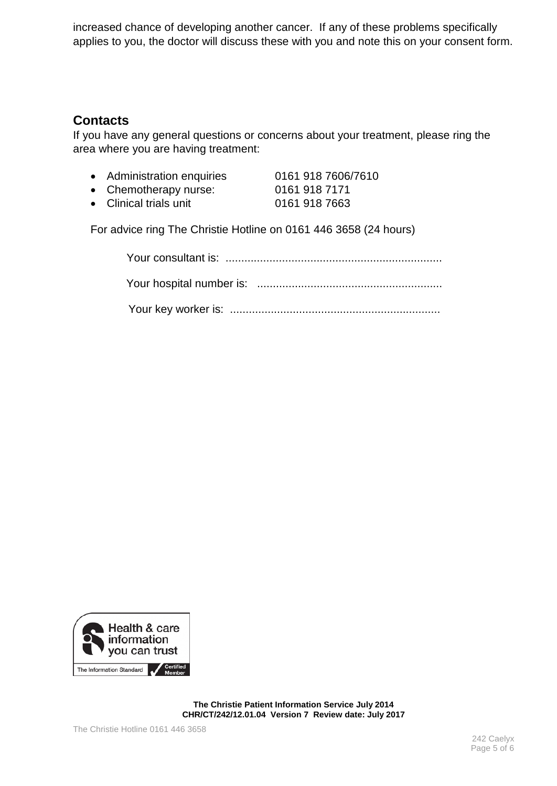increased chance of developing another cancer. If any of these problems specifically applies to you, the doctor will discuss these with you and note this on your consent form.

## **Contacts**

If you have any general questions or concerns about your treatment, please ring the area where you are having treatment:

- Administration enquiries 0161 918 7606/7610
- Chemotherapy nurse: 0161 918 7171
- 
- Clinical trials unit 0161 918 7663
- 

For advice ring The Christie Hotline on 0161 446 3658 (24 hours)



**The Christie Patient Information Service July 2014 CHR/CT/242/12.01.04 Version 7 Review date: July 2017**